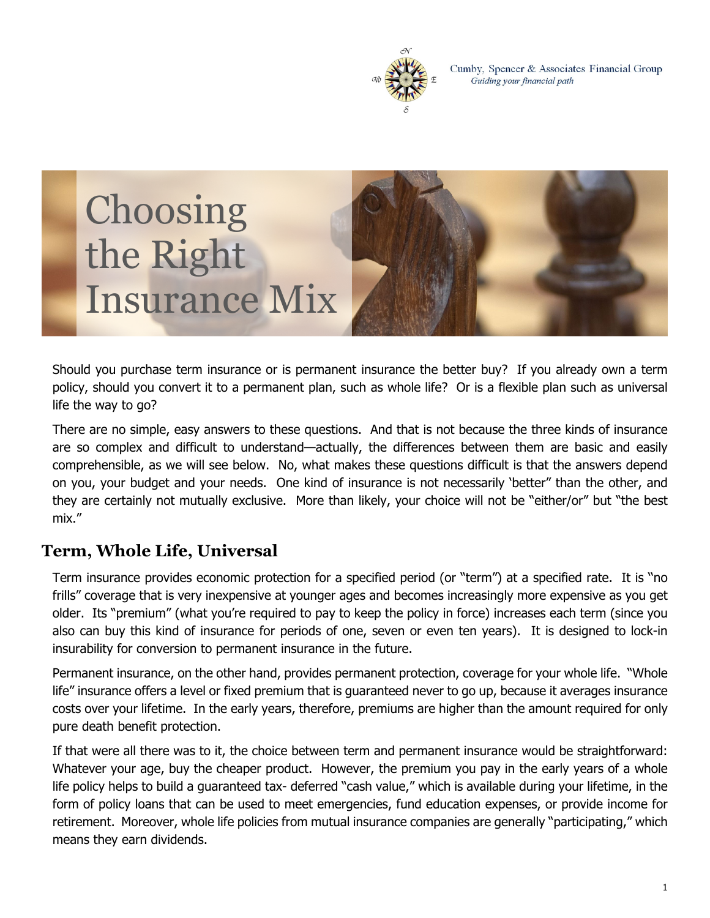

Cumby, Spencer & Associates Financial Group Guiding your financial path



Should you purchase term insurance or is permanent insurance the better buy? If you already own a term policy, should you convert it to a permanent plan, such as whole life? Or is a flexible plan such as universal life the way to go?

There are no simple, easy answers to these questions. And that is not because the three kinds of insurance are so complex and difficult to understand—actually, the differences between them are basic and easily comprehensible, as we will see below. No, what makes these questions difficult is that the answers depend on you, your budget and your needs. One kind of insurance is not necessarily 'better" than the other, and they are certainly not mutually exclusive. More than likely, your choice will not be "either/or" but "the best mix."

#### **Term, Whole Life, Universal**

Term insurance provides economic protection for a specified period (or "term") at a specified rate. It is ''no frills" coverage that is very inexpensive at younger ages and becomes increasingly more expensive as you get older. Its "premium" (what you're required to pay to keep the policy in force) increases each term (since you also can buy this kind of insurance for periods of one, seven or even ten years). It is designed to lock-in insurability for conversion to permanent insurance in the future.

Permanent insurance, on the other hand, provides permanent protection, coverage for your whole life. "Whole life" insurance offers a level or fixed premium that is guaranteed never to go up, because it averages insurance costs over your lifetime. In the early years, therefore, premiums are higher than the amount required for only pure death benefit protection.

If that were all there was to it, the choice between term and permanent insurance would be straightforward: Whatever your age, buy the cheaper product. However, the premium you pay in the early years of a whole life policy helps to build a guaranteed tax- deferred "cash value," which is available during your lifetime, in the form of policy loans that can be used to meet emergencies, fund education expenses, or provide income for retirement. Moreover, whole life policies from mutual insurance companies are generally "participating," which means they earn dividends.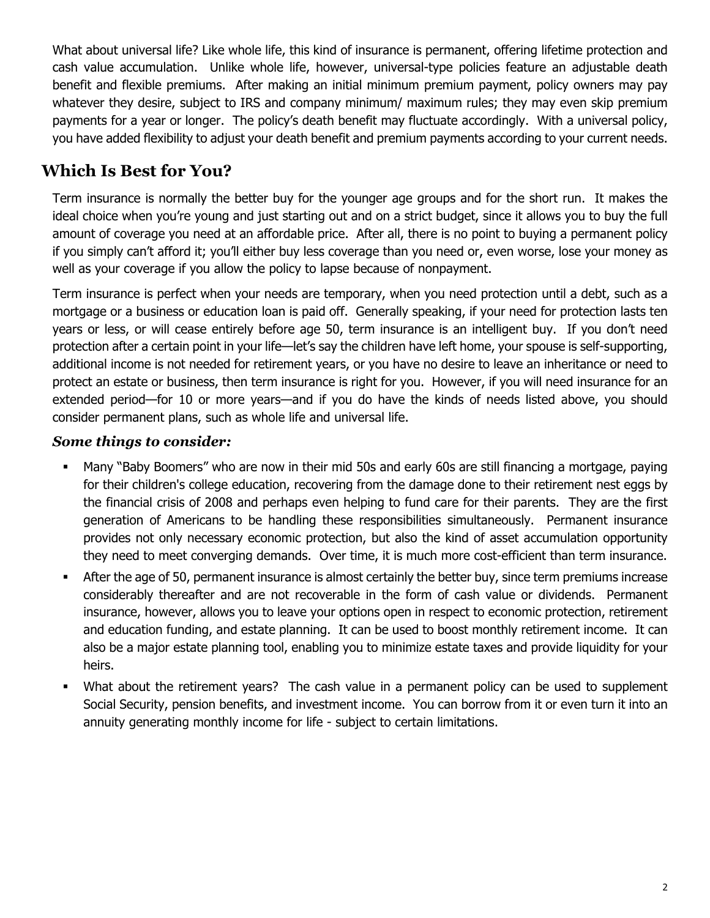What about universal life? Like whole life, this kind of insurance is permanent, offering lifetime protection and cash value accumulation. Unlike whole life, however, universal-type policies feature an adjustable death benefit and flexible premiums. After making an initial minimum premium payment, policy owners may pay whatever they desire, subject to IRS and company minimum/ maximum rules; they may even skip premium payments for a year or longer. The policy's death benefit may fluctuate accordingly. With a universal policy, you have added flexibility to adjust your death benefit and premium payments according to your current needs.

# **Which Is Best for You?**

Term insurance is normally the better buy for the younger age groups and for the short run. It makes the ideal choice when you're young and just starting out and on a strict budget, since it allows you to buy the full amount of coverage you need at an affordable price. After all, there is no point to buying a permanent policy if you simply can't afford it; you'll either buy less coverage than you need or, even worse, lose your money as well as your coverage if you allow the policy to lapse because of nonpayment.

Term insurance is perfect when your needs are temporary, when you need protection until a debt, such as a mortgage or a business or education loan is paid off. Generally speaking, if your need for protection lasts ten years or less, or will cease entirely before age 50, term insurance is an intelligent buy. If you don't need protection after a certain point in your life—let's say the children have left home, your spouse is self-supporting, additional income is not needed for retirement years, or you have no desire to leave an inheritance or need to protect an estate or business, then term insurance is right for you. However, if you will need insurance for an extended period—for 10 or more years—and if you do have the kinds of needs listed above, you should consider permanent plans, such as whole life and universal life.

#### *Some things to consider:*

- Many "Baby Boomers" who are now in their mid 50s and early 60s are still financing a mortgage, paying for their children's college education, recovering from the damage done to their retirement nest eggs by the financial crisis of 2008 and perhaps even helping to fund care for their parents. They are the first generation of Americans to be handling these responsibilities simultaneously. Permanent insurance provides not only necessary economic protection, but also the kind of asset accumulation opportunity they need to meet converging demands. Over time, it is much more cost-efficient than term insurance.
- After the age of 50, permanent insurance is almost certainly the better buy, since term premiums increase considerably thereafter and are not recoverable in the form of cash value or dividends. Permanent insurance, however, allows you to leave your options open in respect to economic protection, retirement and education funding, and estate planning. It can be used to boost monthly retirement income. It can also be a major estate planning tool, enabling you to minimize estate taxes and provide liquidity for your heirs.
- What about the retirement years? The cash value in a permanent policy can be used to supplement Social Security, pension benefits, and investment income. You can borrow from it or even turn it into an annuity generating monthly income for life - subject to certain limitations.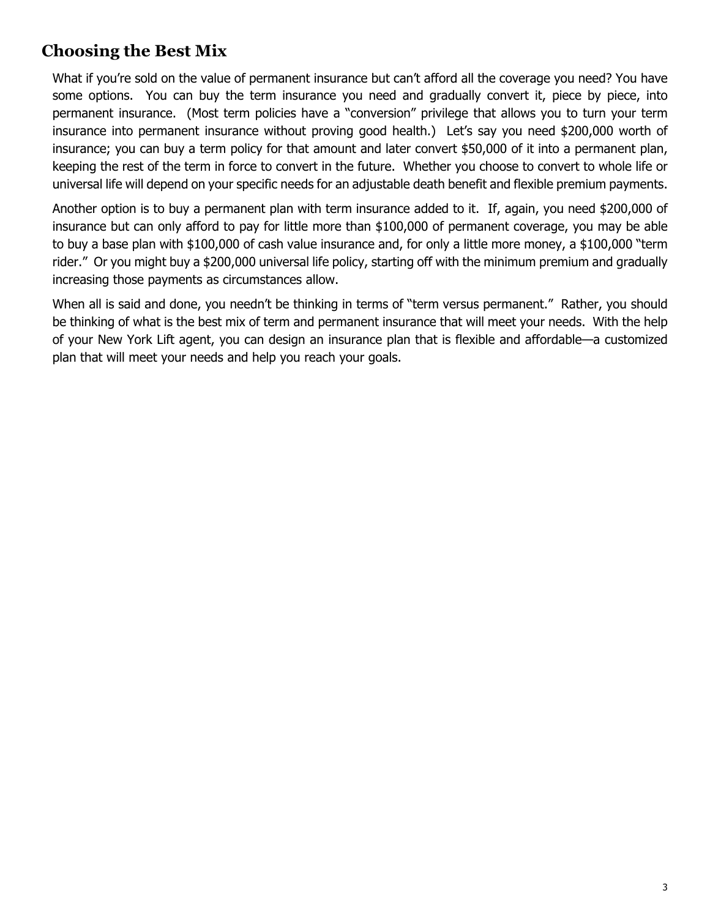### **Choosing the Best Mix**

What if you're sold on the value of permanent insurance but can't afford all the coverage you need? You have some options. You can buy the term insurance you need and gradually convert it, piece by piece, into permanent insurance. (Most term policies have a "conversion" privilege that allows you to turn your term insurance into permanent insurance without proving good health.) Let's say you need \$200,000 worth of insurance; you can buy a term policy for that amount and later convert \$50,000 of it into a permanent plan, keeping the rest of the term in force to convert in the future. Whether you choose to convert to whole life or universal life will depend on your specific needs for an adjustable death benefit and flexible premium payments.

Another option is to buy a permanent plan with term insurance added to it. If, again, you need \$200,000 of insurance but can only afford to pay for little more than \$100,000 of permanent coverage, you may be able to buy a base plan with \$100,000 of cash value insurance and, for only a little more money, a \$100,000 "term rider." Or you might buy a \$200,000 universal life policy, starting off with the minimum premium and gradually increasing those payments as circumstances allow.

When all is said and done, you needn't be thinking in terms of "term versus permanent." Rather, you should be thinking of what is the best mix of term and permanent insurance that will meet your needs. With the help of your New York Lift agent, you can design an insurance plan that is flexible and affordable—a customized plan that will meet your needs and help you reach your goals.